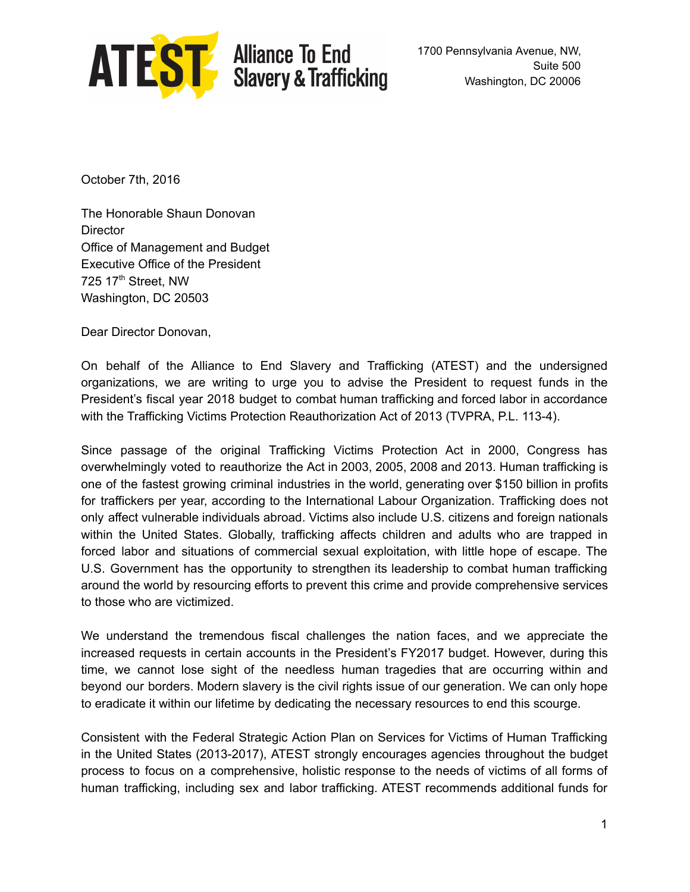

**ATEST** Alliance To End<br>Slavery & Trafficking

1700 Pennsylvania Avenue, NW, Suite 500 Washington, DC 20006

October 7th, 2016

The Honorable Shaun Donovan **Director** Office of Management and Budget Executive Office of the President 725 17<sup>th</sup> Street, NW Washington, DC 20503

Dear Director Donovan,

On behalf of the Alliance to End Slavery and Trafficking (ATEST) and the undersigned organizations, we are writing to urge you to advise the President to request funds in the President's fiscal year 2018 budget to combat human trafficking and forced labor in accordance with the Trafficking Victims Protection Reauthorization Act of 2013 (TVPRA, P.L. 1134).

Since passage of the original Trafficking Victims Protection Act in 2000, Congress has overwhelmingly voted to reauthorize the Act in 2003, 2005, 2008 and 2013. Human trafficking is one of the fastest growing criminal industries in the world, generating over \$150 billion in profits for traffickers per year, according to the International Labour Organization. Trafficking does not only affect vulnerable individuals abroad. Victims also include U.S. citizens and foreign nationals within the United States. Globally, trafficking affects children and adults who are trapped in forced labor and situations of commercial sexual exploitation, with little hope of escape. The U.S. Government has the opportunity to strengthen its leadership to combat human trafficking around the world by resourcing efforts to prevent this crime and provide comprehensive services to those who are victimized.

We understand the tremendous fiscal challenges the nation faces, and we appreciate the increased requests in certain accounts in the President's FY2017 budget. However, during this time, we cannot lose sight of the needless human tragedies that are occurring within and beyond our borders. Modern slavery is the civil rights issue of our generation. We can only hope to eradicate it within our lifetime by dedicating the necessary resources to end this scourge.

Consistent with the Federal Strategic Action Plan on Services for Victims of Human Trafficking in the United States (2013-2017), ATEST strongly encourages agencies throughout the budget process to focus on a comprehensive, holistic response to the needs of victims of all forms of human trafficking, including sex and labor trafficking. ATEST recommends additional funds for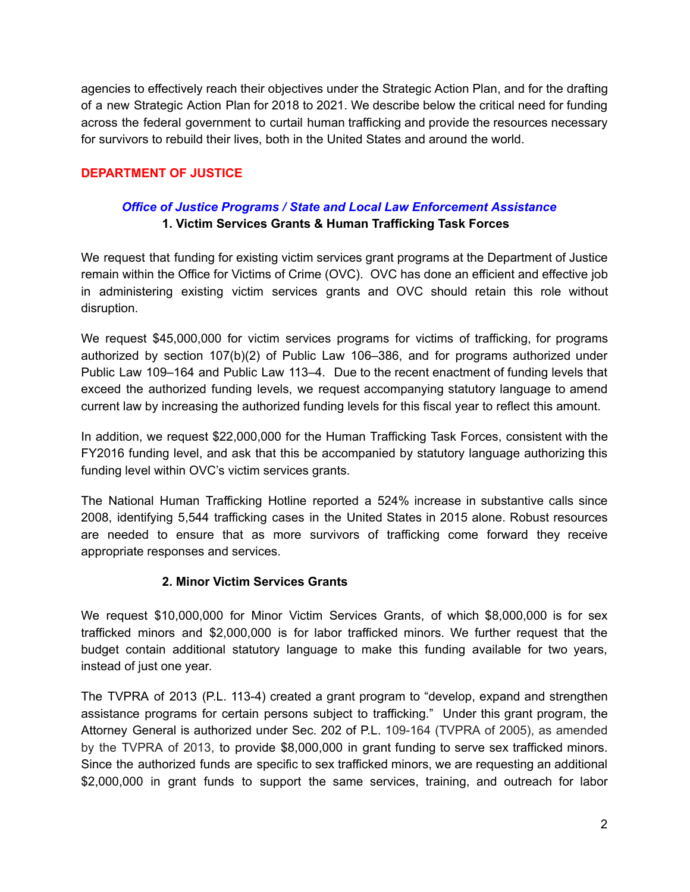agencies to effectively reach their objectives under the Strategic Action Plan, and for the drafting of a new Strategic Action Plan for 2018 to 2021. We describe below the critical need for funding across the federal government to curtail human trafficking and provide the resources necessary for survivors to rebuild their lives, both in the United States and around the world.

### **DEPARTMENT OF JUSTICE**

### *Office of Justice Programs / State and Local Law Enforcement Assistance* **1. Victim Services Grants & Human Trafficking Task Forces**

We request that funding for existing victim services grant programs at the Department of Justice remain within the Office for Victims of Crime (OVC). OVC has done an efficient and effective job in administering existing victim services grants and OVC should retain this role without disruption.

We request \$45,000,000 for victim services programs for victims of trafficking, for programs authorized by section 107(b)(2) of Public Law 106–386, and for programs authorized under Public Law 109–164 and Public Law 113–4. Due to the recent enactment of funding levels that exceed the authorized funding levels, we request accompanying statutory language to amend current law by increasing the authorized funding levels for this fiscal year to reflect this amount.

In addition, we request \$22,000,000 for the Human Trafficking Task Forces, consistent with the FY2016 funding level, and ask that this be accompanied by statutory language authorizing this funding level within OVC's victim services grants.

The National Human Trafficking Hotline reported a 524% increase in substantive calls since 2008, identifying 5,544 trafficking cases in the United States in 2015 alone. Robust resources are needed to ensure that as more survivors of trafficking come forward they receive appropriate responses and services.

### **2. Minor Victim Services Grants**

We request \$10,000,000 for Minor Victim Services Grants, of which \$8,000,000 is for sex trafficked minors and \$2,000,000 is for labor trafficked minors. We further request that the budget contain additional statutory language to make this funding available for two years, instead of just one year.

The TVPRA of 2013 (P.L. 113-4) created a grant program to "develop, expand and strengthen assistance programs for certain persons subject to trafficking." Under this grant program, the Attorney General is authorized under Sec. 202 of P.L. 109-164 (TVPRA of 2005), as amended by the TVPRA of 2013, to provide \$8,000,000 in grant funding to serve sex trafficked minors. Since the authorized funds are specific to sex trafficked minors, we are requesting an additional \$2,000,000 in grant funds to support the same services, training, and outreach for labor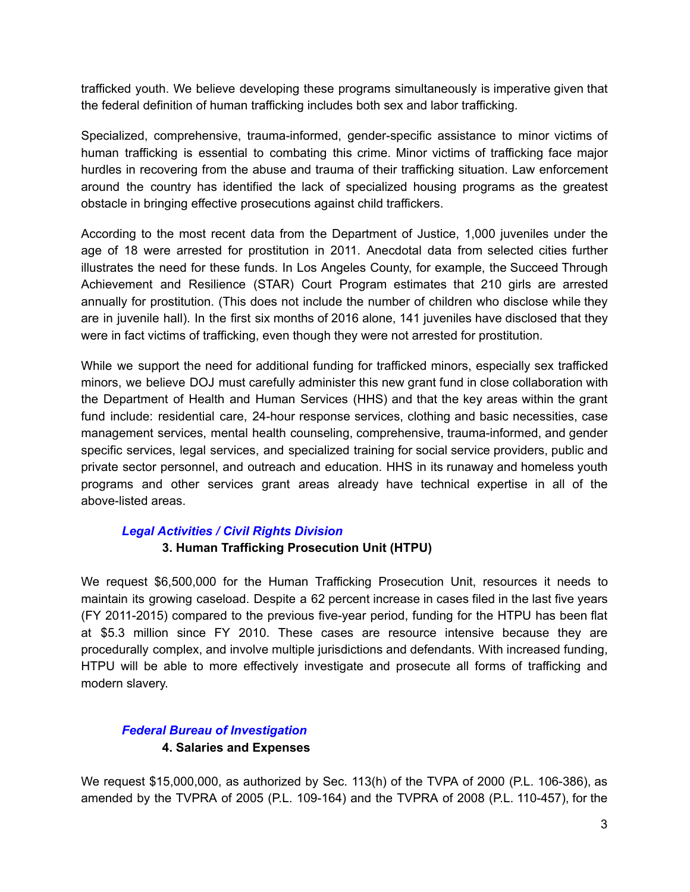trafficked youth. We believe developing these programs simultaneously is imperative given that the federal definition of human trafficking includes both sex and labor trafficking.

Specialized, comprehensive, trauma-informed, gender-specific assistance to minor victims of human trafficking is essential to combating this crime. Minor victims of trafficking face major hurdles in recovering from the abuse and trauma of their trafficking situation. Law enforcement around the country has identified the lack of specialized housing programs as the greatest obstacle in bringing effective prosecutions against child traffickers.

According to the most recent data from the Department of Justice, 1,000 juveniles under the age of 18 were arrested for prostitution in 2011. Anecdotal data from selected cities further illustrates the need for these funds. In Los Angeles County, for example, the Succeed Through Achievement and Resilience (STAR) Court Program estimates that 210 girls are arrested annually for prostitution. (This does not include the number of children who disclose while they are in juvenile hall). In the first six months of 2016 alone, 141 juveniles have disclosed that they were in fact victims of trafficking, even though they were not arrested for prostitution.

While we support the need for additional funding for trafficked minors, especially sex trafficked minors, we believe DOJ must carefully administer this new grant fund in close collaboration with the Department of Health and Human Services (HHS) and that the key areas within the grant fund include: residential care, 24-hour response services, clothing and basic necessities, case management services, mental health counseling, comprehensive, trauma-informed, and gender specific services, legal services, and specialized training for social service providers, public and private sector personnel, and outreach and education. HHS in its runaway and homeless youth programs and other services grant areas already have technical expertise in all of the above-listed areas.

#### *Legal Activities / Civil Rights Division*

### **3. Human Trafficking Prosecution Unit (HTPU)**

We request \$6,500,000 for the Human Trafficking Prosecution Unit, resources it needs to maintain its growing caseload. Despite a 62 percent increase in cases filed in the last five years (FY 2011-2015) compared to the previous five-year period, funding for the HTPU has been flat at \$5.3 million since FY 2010. These cases are resource intensive because they are procedurally complex, and involve multiple jurisdictions and defendants. With increased funding, HTPU will be able to more effectively investigate and prosecute all forms of trafficking and modern slavery.

### *Federal Bureau of Investigation* **4. Salaries and Expenses**

We request \$15,000,000, as authorized by Sec. 113(h) of the TVPA of 2000 (P.L. 106-386), as amended by the TVPRA of 2005 (P.L. 109-164) and the TVPRA of 2008 (P.L. 110-457), for the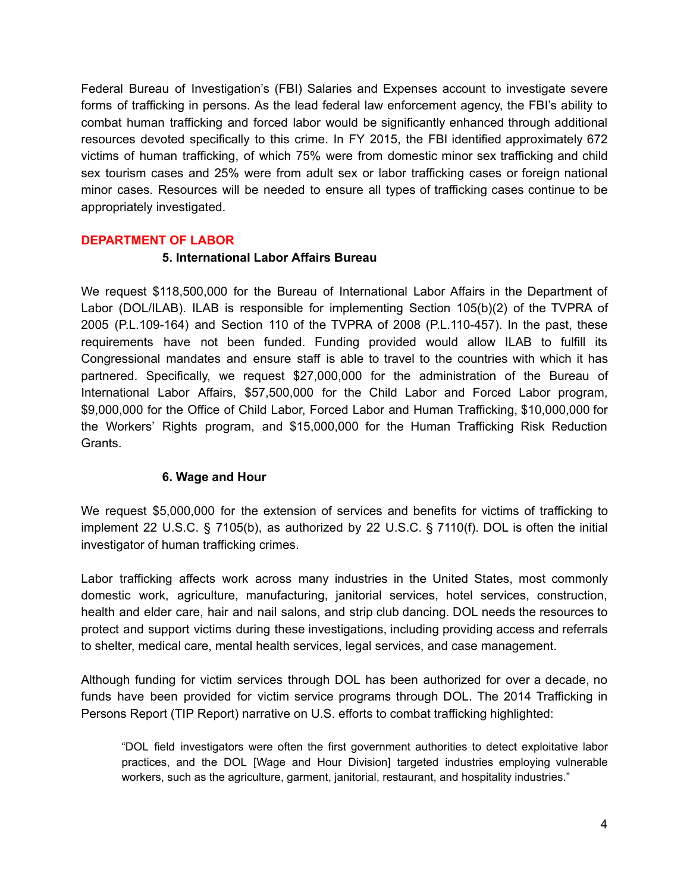Federal Bureau of Investigation's (FBI) Salaries and Expenses account to investigate severe forms of trafficking in persons. As the lead federal law enforcement agency, the FBI's ability to combat human trafficking and forced labor would be significantly enhanced through additional resources devoted specifically to this crime. In FY 2015, the FBI identified approximately 672 victims of human trafficking, of which 75% were from domestic minor sex trafficking and child sex tourism cases and 25% were from adult sex or labor trafficking cases or foreign national minor cases. Resources will be needed to ensure all types of trafficking cases continue to be appropriately investigated.

#### **DEPARTMENT OF LABOR**

#### **5. International Labor Affairs Bureau**

We request \$118,500,000 for the Bureau of International Labor Affairs in the Department of Labor (DOL/ILAB). ILAB is responsible for implementing Section 105(b)(2) of the TVPRA of 2005 (P.L.109-164) and Section 110 of the TVPRA of 2008 (P.L.110-457). In the past, these requirements have not been funded. Funding provided would allow ILAB to fulfill its Congressional mandates and ensure staff is able to travel to the countries with which it has partnered. Specifically, we request \$27,000,000 for the administration of the Bureau of International Labor Affairs, \$57,500,000 for the Child Labor and Forced Labor program, \$9,000,000 for the Office of Child Labor, Forced Labor and Human Trafficking, \$10,000,000 for the Workers' Rights program, and \$15,000,000 for the Human Trafficking Risk Reduction Grants.

### **6. Wage and Hour**

We request \$5,000,000 for the extension of services and benefits for victims of trafficking to implement 22 U.S.C. § 7105(b), as authorized by 22 U.S.C. § 7110(f). DOL is often the initial investigator of human trafficking crimes.

Labor trafficking affects work across many industries in the United States, most commonly domestic work, agriculture, manufacturing, janitorial services, hotel services, construction, health and elder care, hair and nail salons, and strip club dancing. DOL needs the resources to protect and support victims during these investigations, including providing access and referrals to shelter, medical care, mental health services, legal services, and case management.

Although funding for victim services through DOL has been authorized for over a decade, no funds have been provided for victim service programs through DOL. The 2014 Trafficking in Persons Report (TIP Report) narrative on U.S. efforts to combat trafficking highlighted:

"DOL field investigators were often the first government authorities to detect exploitative labor practices, and the DOL [Wage and Hour Division] targeted industries employing vulnerable workers, such as the agriculture, garment, janitorial, restaurant, and hospitality industries."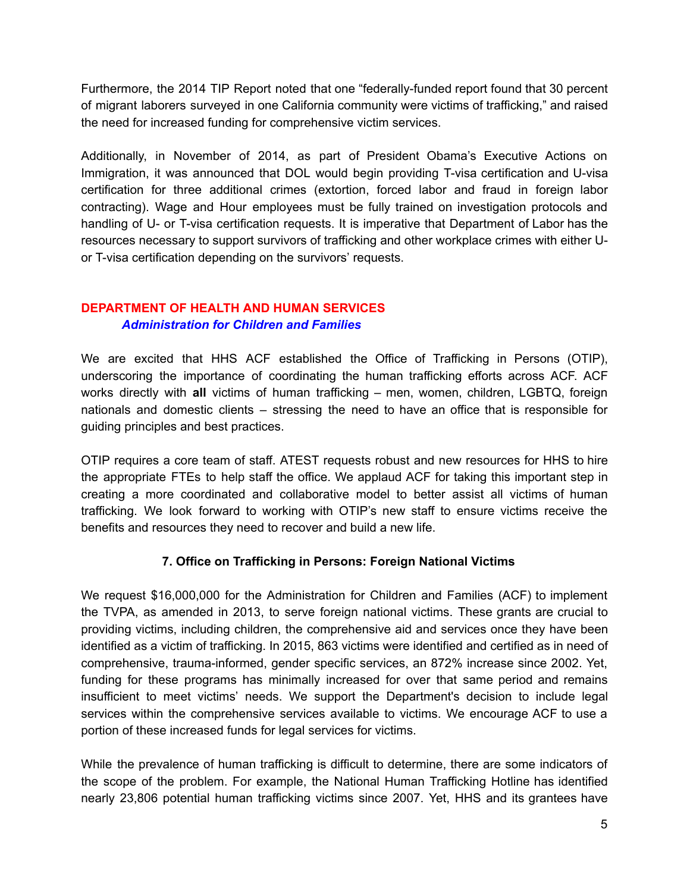Furthermore, the 2014 TIP Report noted that one "federally-funded report found that 30 percent of migrant laborers surveyed in one California community were victims of trafficking," and raised the need for increased funding for comprehensive victim services.

Additionally, in November of 2014, as part of President Obama's Executive Actions on Immigration, it was announced that DOL would begin providing T-visa certification and U-visa certification for three additional crimes (extortion, forced labor and fraud in foreign labor contracting). Wage and Hour employees must be fully trained on investigation protocols and handling of U- or T-visa certification requests. It is imperative that Department of Labor has the resources necessary to support survivors of trafficking and other workplace crimes with either Uor T-visa certification depending on the survivors' requests.

### **DEPARTMENT OF HEALTH AND HUMAN SERVICES** *Administration for Children and Families*

We are excited that HHS ACF established the Office of Trafficking in Persons (OTIP), underscoring the importance of coordinating the human trafficking efforts across ACF. ACF works directly with **all** victims of human trafficking – men, women, children, LGBTQ, foreign nationals and domestic clients – stressing the need to have an office that is responsible for guiding principles and best practices.

OTIP requires a core team of staff. ATEST requests robust and new resources for HHS to hire the appropriate FTEs to help staff the office. We applaud ACF for taking this important step in creating a more coordinated and collaborative model to better assist all victims of human trafficking. We look forward to working with OTIP's new staff to ensure victims receive the benefits and resources they need to recover and build a new life.

## **7. Office on Trafficking in Persons: Foreign National Victims**

We request \$16,000,000 for the Administration for Children and Families (ACF) to implement the TVPA, as amended in 2013, to serve foreign national victims. These grants are crucial to providing victims, including children, the comprehensive aid and services once they have been identified as a victim of trafficking. In 2015, 863 victims were identified and certified as in need of comprehensive, trauma-informed, gender specific services, an 872% increase since 2002. Yet, funding for these programs has minimally increased for over that same period and remains insufficient to meet victims' needs. We support the Department's decision to include legal services within the comprehensive services available to victims. We encourage ACF to use a portion of these increased funds for legal services for victims.

While the prevalence of human trafficking is difficult to determine, there are some indicators of the scope of the problem. For example, the National Human Trafficking Hotline has identified nearly 23,806 potential human trafficking victims since 2007. Yet, HHS and its grantees have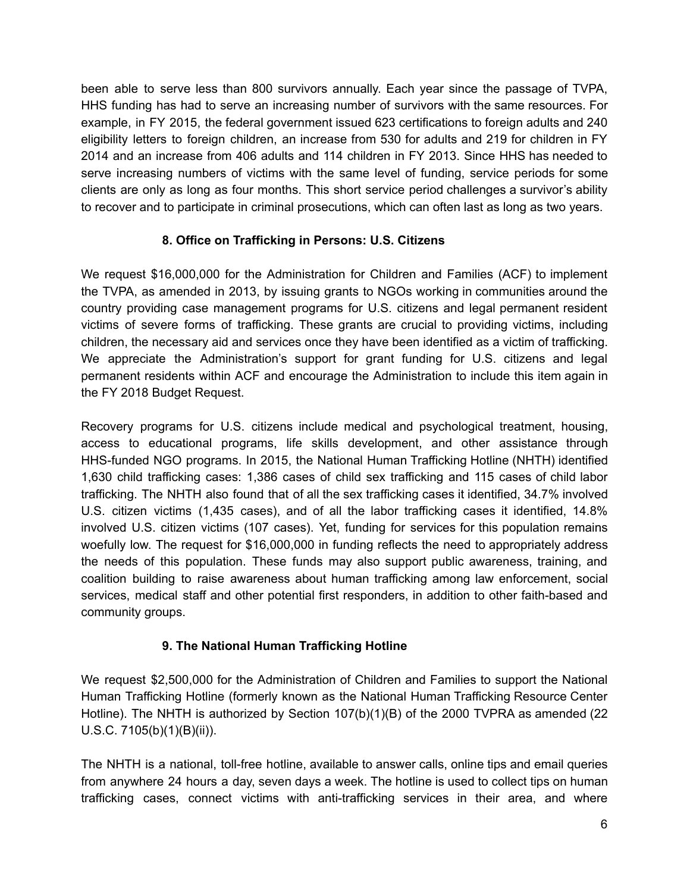been able to serve less than 800 survivors annually. Each year since the passage of TVPA, HHS funding has had to serve an increasing number of survivors with the same resources. For example, in FY 2015, the federal government issued 623 certifications to foreign adults and 240 eligibility letters to foreign children, an increase from 530 for adults and 219 for children in FY 2014 and an increase from 406 adults and 114 children in FY 2013. Since HHS has needed to serve increasing numbers of victims with the same level of funding, service periods for some clients are only as long as four months. This short service period challenges a survivor's ability to recover and to participate in criminal prosecutions, which can often last as long as two years.

## **8. Office on Trafficking in Persons: U.S. Citizens**

We request \$16,000,000 for the Administration for Children and Families (ACF) to implement the TVPA, as amended in 2013, by issuing grants to NGOs working in communities around the country providing case management programs for U.S. citizens and legal permanent resident victims of severe forms of trafficking. These grants are crucial to providing victims, including children, the necessary aid and services once they have been identified as a victim of trafficking. We appreciate the Administration's support for grant funding for U.S. citizens and legal permanent residents within ACF and encourage the Administration to include this item again in the FY 2018 Budget Request.

Recovery programs for U.S. citizens include medical and psychological treatment, housing, access to educational programs, life skills development, and other assistance through HHS-funded NGO programs. In 2015, the National Human Trafficking Hotline (NHTH) identified 1,630 child trafficking cases: 1,386 cases of child sex trafficking and 115 cases of child labor trafficking. The NHTH also found that of all the sex trafficking cases it identified, 34.7% involved U.S. citizen victims (1,435 cases), and of all the labor trafficking cases it identified, 14.8% involved U.S. citizen victims (107 cases). Yet, funding for services for this population remains woefully low. The request for \$16,000,000 in funding reflects the need to appropriately address the needs of this population. These funds may also support public awareness, training, and coalition building to raise awareness about human trafficking among law enforcement, social services, medical staff and other potential first responders, in addition to other faith-based and community groups.

### **9. The National Human Trafficking Hotline**

We request \$2,500,000 for the Administration of Children and Families to support the National Human Trafficking Hotline (formerly known as the National Human Trafficking Resource Center Hotline). The NHTH is authorized by Section 107(b)(1)(B) of the 2000 TVPRA as amended (22 U.S.C. 7105(b)(1)(B)(ii)).

The NHTH is a national, toll-free hotline, available to answer calls, online tips and email queries from anywhere 24 hours a day, seven days a week. The hotline is used to collect tips on human trafficking cases, connect victims with anti-trafficking services in their area, and where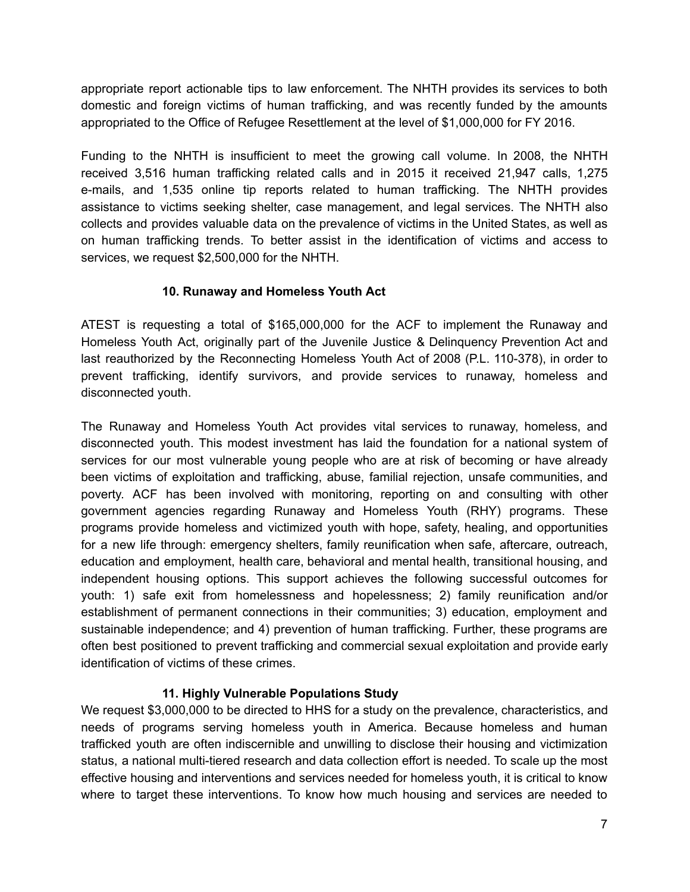appropriate report actionable tips to law enforcement. The NHTH provides its services to both domestic and foreign victims of human trafficking, and was recently funded by the amounts appropriated to the Office of Refugee Resettlement at the level of \$1,000,000 for FY 2016.

Funding to the NHTH is insufficient to meet the growing call volume. In 2008, the NHTH received 3,516 human trafficking related calls and in 2015 it received 21,947 calls, 1,275 e-mails, and 1,535 online tip reports related to human trafficking. The NHTH provides assistance to victims seeking shelter, case management, and legal services. The NHTH also collects and provides valuable data on the prevalence of victims in the United States, as well as on human trafficking trends. To better assist in the identification of victims and access to services, we request \$2,500,000 for the NHTH.

## **10. Runaway and Homeless Youth Act**

ATEST is requesting a total of \$165,000,000 for the ACF to implement the Runaway and Homeless Youth Act, originally part of the Juvenile Justice & Delinquency Prevention Act and last reauthorized by the Reconnecting Homeless Youth Act of 2008 (P.L. 110-378), in order to prevent trafficking, identify survivors, and provide services to runaway, homeless and disconnected youth.

The Runaway and Homeless Youth Act provides vital services to runaway, homeless, and disconnected youth. This modest investment has laid the foundation for a national system of services for our most vulnerable young people who are at risk of becoming or have already been victims of exploitation and trafficking, abuse, familial rejection, unsafe communities, and poverty. ACF has been involved with monitoring, reporting on and consulting with other government agencies regarding Runaway and Homeless Youth (RHY) programs. These programs provide homeless and victimized youth with hope, safety, healing, and opportunities for a new life through: emergency shelters, family reunification when safe, aftercare, outreach, education and employment, health care, behavioral and mental health, transitional housing, and independent housing options. This support achieves the following successful outcomes for youth: 1) safe exit from homelessness and hopelessness; 2) family reunification and/or establishment of permanent connections in their communities; 3) education, employment and sustainable independence; and 4) prevention of human trafficking. Further, these programs are often best positioned to prevent trafficking and commercial sexual exploitation and provide early identification of victims of these crimes.

## **11. Highly Vulnerable Populations Study**

We request \$3,000,000 to be directed to HHS for a study on the prevalence, characteristics, and needs of programs serving homeless youth in America. Because homeless and human trafficked youth are often indiscernible and unwilling to disclose their housing and victimization status, a national multi-tiered research and data collection effort is needed. To scale up the most effective housing and interventions and services needed for homeless youth, it is critical to know where to target these interventions. To know how much housing and services are needed to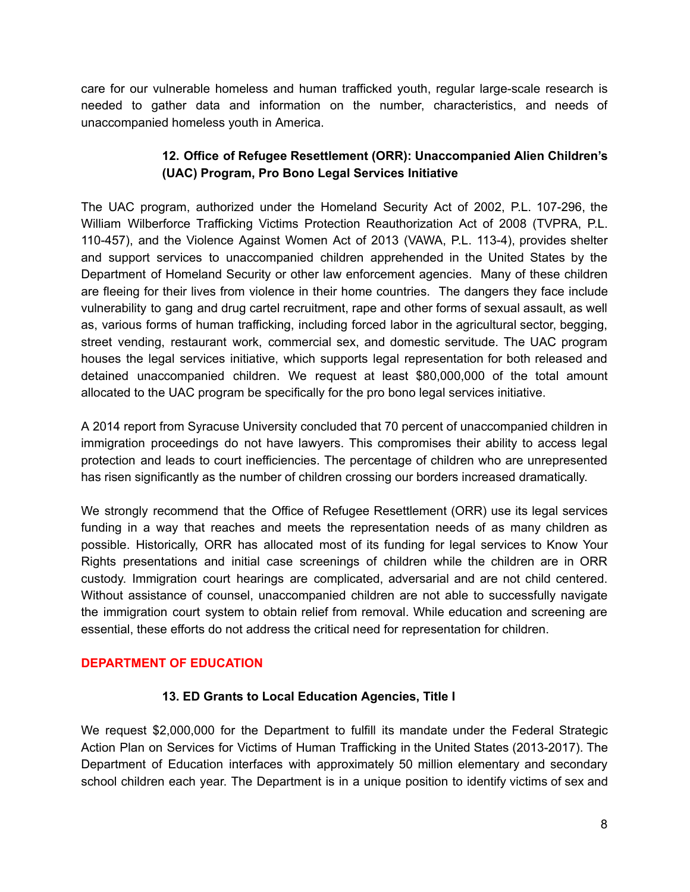care for our vulnerable homeless and human trafficked youth, regular large-scale research is needed to gather data and information on the number, characteristics, and needs of unaccompanied homeless youth in America.

### **12. Office of Refugee Resettlement (ORR): Unaccompanied Alien Children's (UAC) Program, Pro Bono Legal Services Initiative**

The UAC program, authorized under the Homeland Security Act of 2002, P.L. 107-296, the William Wilberforce Trafficking Victims Protection Reauthorization Act of 2008 (TVPRA, P.L. 110-457), and the Violence Against Women Act of 2013 (VAWA, P.L. 113-4), provides shelter and support services to unaccompanied children apprehended in the United States by the Department of Homeland Security or other law enforcement agencies. Many of these children are fleeing for their lives from violence in their home countries. The dangers they face include vulnerability to gang and drug cartel recruitment, rape and other forms of sexual assault, as well as, various forms of human trafficking, including forced labor in the agricultural sector, begging, street vending, restaurant work, commercial sex, and domestic servitude. The UAC program houses the legal services initiative, which supports legal representation for both released and detained unaccompanied children. We request at least \$80,000,000 of the total amount allocated to the UAC program be specifically for the pro bono legal services initiative.

A 2014 report from Syracuse University concluded that 70 percent of unaccompanied children in immigration proceedings do not have lawyers. This compromises their ability to access legal protection and leads to court inefficiencies. The percentage of children who are unrepresented has risen significantly as the number of children crossing our borders increased dramatically.

We strongly recommend that the Office of Refugee Resettlement (ORR) use its legal services funding in a way that reaches and meets the representation needs of as many children as possible. Historically, ORR has allocated most of its funding for legal services to Know Your Rights presentations and initial case screenings of children while the children are in ORR custody. Immigration court hearings are complicated, adversarial and are not child centered. Without assistance of counsel, unaccompanied children are not able to successfully navigate the immigration court system to obtain relief from removal. While education and screening are essential, these efforts do not address the critical need for representation for children.

### **DEPARTMENT OF EDUCATION**

### **13. ED Grants to Local Education Agencies, Title I**

We request \$2,000,000 for the Department to fulfill its mandate under the Federal Strategic Action Plan on Services for Victims of Human Trafficking in the United States (2013-2017). The Department of Education interfaces with approximately 50 million elementary and secondary school children each year. The Department is in a unique position to identify victims of sex and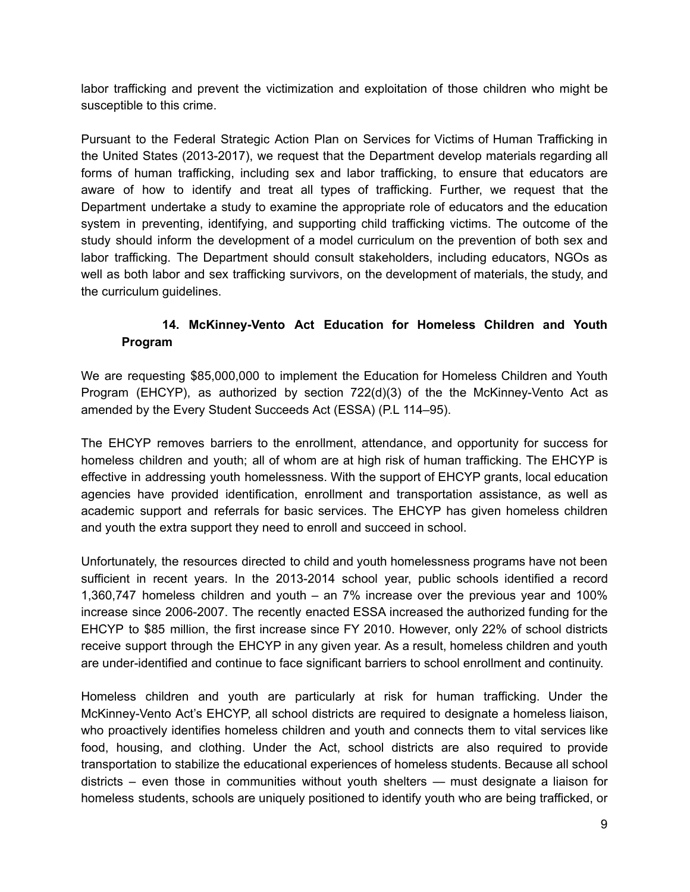labor trafficking and prevent the victimization and exploitation of those children who might be susceptible to this crime.

Pursuant to the Federal Strategic Action Plan on Services for Victims of Human Trafficking in the United States (2013-2017), we request that the Department develop materials regarding all forms of human trafficking, including sex and labor trafficking, to ensure that educators are aware of how to identify and treat all types of trafficking. Further, we request that the Department undertake a study to examine the appropriate role of educators and the education system in preventing, identifying, and supporting child trafficking victims. The outcome of the study should inform the development of a model curriculum on the prevention of both sex and labor trafficking. The Department should consult stakeholders, including educators, NGOs as well as both labor and sex trafficking survivors, on the development of materials, the study, and the curriculum guidelines.

## **14. McKinneyVento Act Education for Homeless Children and Youth Program**

We are requesting \$85,000,000 to implement the Education for Homeless Children and Youth Program (EHCYP), as authorized by section  $722(d)(3)$  of the the McKinney-Vento Act as amended by the Every Student Succeeds Act (ESSA) (P.L 114–95).

The EHCYP removes barriers to the enrollment, attendance, and opportunity for success for homeless children and youth; all of whom are at high risk of human trafficking. The EHCYP is effective in addressing youth homelessness. With the support of EHCYP grants, local education agencies have provided identification, enrollment and transportation assistance, as well as academic support and referrals for basic services. The EHCYP has given homeless children and youth the extra support they need to enroll and succeed in school.

Unfortunately, the resources directed to child and youth homelessness programs have not been sufficient in recent years. In the 2013-2014 school year, public schools identified a record 1,360,747 homeless children and youth – an 7% increase over the previous year and 100% increase since 2006-2007. The recently enacted ESSA increased the authorized funding for the EHCYP to \$85 million, the first increase since FY 2010. However, only 22% of school districts receive support through the EHCYP in any given year. As a result, homeless children and youth are under-identified and continue to face significant barriers to school enrollment and continuity.

Homeless children and youth are particularly at risk for human trafficking. Under the McKinney-Vento Act's EHCYP, all school districts are required to designate a homeless liaison, who proactively identifies homeless children and youth and connects them to vital services like food, housing, and clothing. Under the Act, school districts are also required to provide transportation to stabilize the educational experiences of homeless students. Because all school districts – even those in communities without youth shelters — must designate a liaison for homeless students, schools are uniquely positioned to identify youth who are being trafficked, or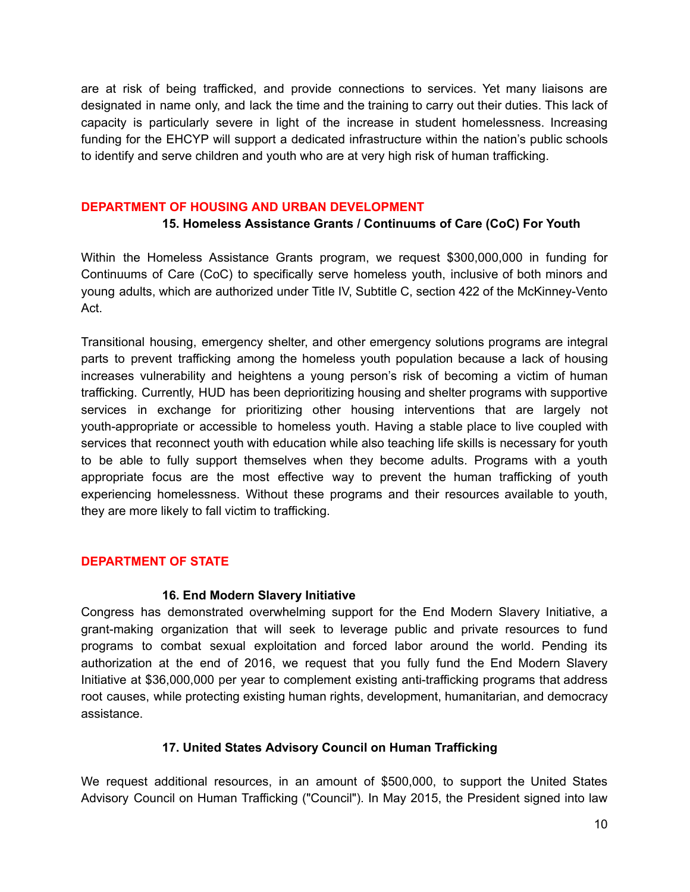are at risk of being trafficked, and provide connections to services. Yet many liaisons are designated in name only, and lack the time and the training to carry out their duties. This lack of capacity is particularly severe in light of the increase in student homelessness. Increasing funding for the EHCYP will support a dedicated infrastructure within the nation's public schools to identify and serve children and youth who are at very high risk of human trafficking.

#### **DEPARTMENT OF HOUSING AND URBAN DEVELOPMENT**

### **15. Homeless Assistance Grants / Continuums of Care (CoC) For Youth**

Within the Homeless Assistance Grants program, we request \$300,000,000 in funding for Continuums of Care (CoC) to specifically serve homeless youth, inclusive of both minors and young adults, which are authorized under Title IV, Subtitle C, section 422 of the McKinney-Vento Act.

Transitional housing, emergency shelter, and other emergency solutions programs are integral parts to prevent trafficking among the homeless youth population because a lack of housing increases vulnerability and heightens a young person's risk of becoming a victim of human trafficking. Currently, HUD has been deprioritizing housing and shelter programs with supportive services in exchange for prioritizing other housing interventions that are largely not youth-appropriate or accessible to homeless youth. Having a stable place to live coupled with services that reconnect youth with education while also teaching life skills is necessary for youth to be able to fully support themselves when they become adults. Programs with a youth appropriate focus are the most effective way to prevent the human trafficking of youth experiencing homelessness. Without these programs and their resources available to youth, they are more likely to fall victim to trafficking.

### **DEPARTMENT OF STATE**

#### **16. End Modern Slavery Initiative**

Congress has demonstrated overwhelming support for the End Modern Slavery Initiative, a grant-making organization that will seek to leverage public and private resources to fund programs to combat sexual exploitation and forced labor around the world. Pending its authorization at the end of 2016, we request that you fully fund the End Modern Slavery Initiative at \$36,000,000 per year to complement existing anti-trafficking programs that address root causes, while protecting existing human rights, development, humanitarian, and democracy assistance.

### **17. United States Advisory Council on Human Trafficking**

We request additional resources, in an amount of \$500,000, to support the United States Advisory Council on Human Trafficking ("Council"). In May 2015, the President signed into law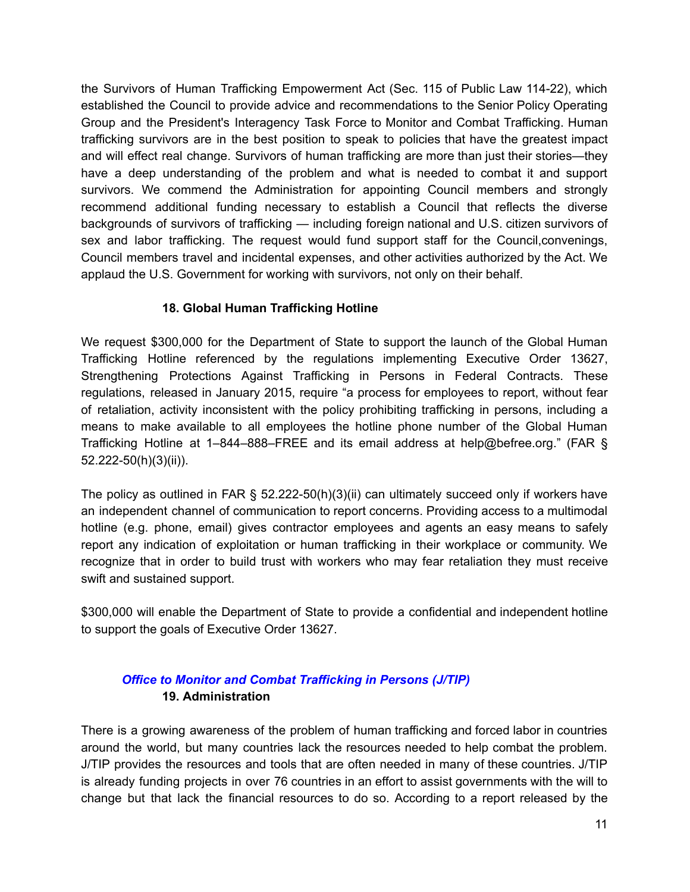the Survivors of Human Trafficking Empowerment Act (Sec. 115 of Public Law 11422), which established the Council to provide advice and recommendations to the Senior Policy Operating Group and the President's Interagency Task Force to Monitor and Combat Trafficking. Human trafficking survivors are in the best position to speak to policies that have the greatest impact and will effect real change. Survivors of human trafficking are more than just their stories—they have a deep understanding of the problem and what is needed to combat it and support survivors. We commend the Administration for appointing Council members and strongly recommend additional funding necessary to establish a Council that reflects the diverse backgrounds of survivors of trafficking — including foreign national and U.S. citizen survivors of sex and labor trafficking. The request would fund support staff for the Council,convenings, Council members travel and incidental expenses, and other activities authorized by the Act. We applaud the U.S. Government for working with survivors, not only on their behalf.

### **18. Global Human Trafficking Hotline**

We request \$300,000 for the Department of State to support the launch of the Global Human Trafficking Hotline referenced by the regulations implementing Executive Order 13627, Strengthening Protections Against Trafficking in Persons in Federal Contracts. These regulations, released in January 2015, require "a process for employees to report, without fear of retaliation, activity inconsistent with the policy prohibiting trafficking in persons, including a means to make available to all employees the hotline phone number of the Global Human Trafficking Hotline at 1–844–888–FREE and its email address at help@befree.org." (FAR § 52.222-50(h)(3)(ii)).

The policy as outlined in FAR  $\S$  52.222-50(h)(3)(ii) can ultimately succeed only if workers have an independent channel of communication to report concerns. Providing access to a multimodal hotline (e.g. phone, email) gives contractor employees and agents an easy means to safely report any indication of exploitation or human trafficking in their workplace or community. We recognize that in order to build trust with workers who may fear retaliation they must receive swift and sustained support.

\$300,000 will enable the Department of State to provide a confidential and independent hotline to support the goals of Executive Order 13627.

## *Office to Monitor and Combat Trafficking in Persons (J/TIP)* **19. Administration**

There is a growing awareness of the problem of human trafficking and forced labor in countries around the world, but many countries lack the resources needed to help combat the problem. J/TIP provides the resources and tools that are often needed in many of these countries. J/TIP is already funding projects in over 76 countries in an effort to assist governments with the will to change but that lack the financial resources to do so. According to a report released by the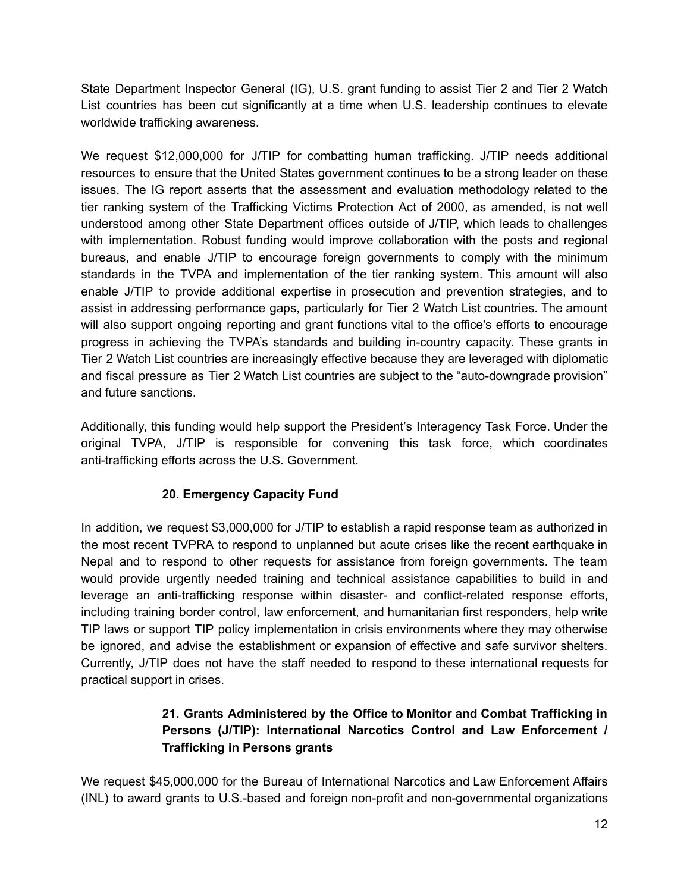State Department Inspector General (IG), U.S. grant funding to assist Tier 2 and Tier 2 Watch List countries has been cut significantly at a time when U.S. leadership continues to elevate worldwide trafficking awareness.

We request \$12,000,000 for J/TIP for combatting human trafficking. J/TIP needs additional resources to ensure that the United States government continues to be a strong leader on these issues. The IG report asserts that the assessment and evaluation methodology related to the tier ranking system of the Trafficking Victims Protection Act of 2000, as amended, is not well understood among other State Department offices outside of J/TIP, which leads to challenges with implementation. Robust funding would improve collaboration with the posts and regional bureaus, and enable J/TIP to encourage foreign governments to comply with the minimum standards in the TVPA and implementation of the tier ranking system. This amount will also enable J/TIP to provide additional expertise in prosecution and prevention strategies, and to assist in addressing performance gaps, particularly for Tier 2 Watch List countries. The amount will also support ongoing reporting and grant functions vital to the office's efforts to encourage progress in achieving the TVPA's standards and building incountry capacity. These grants in Tier 2 Watch List countries are increasingly effective because they are leveraged with diplomatic and fiscal pressure as Tier 2 Watch List countries are subject to the "auto-downgrade provision" and future sanctions.

Additionally, this funding would help support the President's Interagency Task Force. Under the original TVPA, J/TIP is responsible for convening this task force, which coordinates anti-trafficking efforts across the U.S. Government.

## **20. Emergency Capacity Fund**

In addition, we request \$3,000,000 for J/TIP to establish a rapid response team as authorized in the most recent TVPRA to respond to unplanned but acute crises like the recent earthquake in Nepal and to respond to other requests for assistance from foreign governments. The team would provide urgently needed training and technical assistance capabilities to build in and leverage an anti-trafficking response within disaster- and conflict-related response efforts, including training border control, law enforcement, and humanitarian first responders, help write TIP laws or support TIP policy implementation in crisis environments where they may otherwise be ignored, and advise the establishment or expansion of effective and safe survivor shelters. Currently, J/TIP does not have the staff needed to respond to these international requests for practical support in crises.

## **21. Grants Administered by the Office to Monitor and Combat Trafficking in Persons (J/TIP): International Narcotics Control and Law Enforcement / Trafficking in Persons grants**

We request \$45,000,000 for the Bureau of International Narcotics and Law Enforcement Affairs (INL) to award grants to U.S.-based and foreign non-profit and non-governmental organizations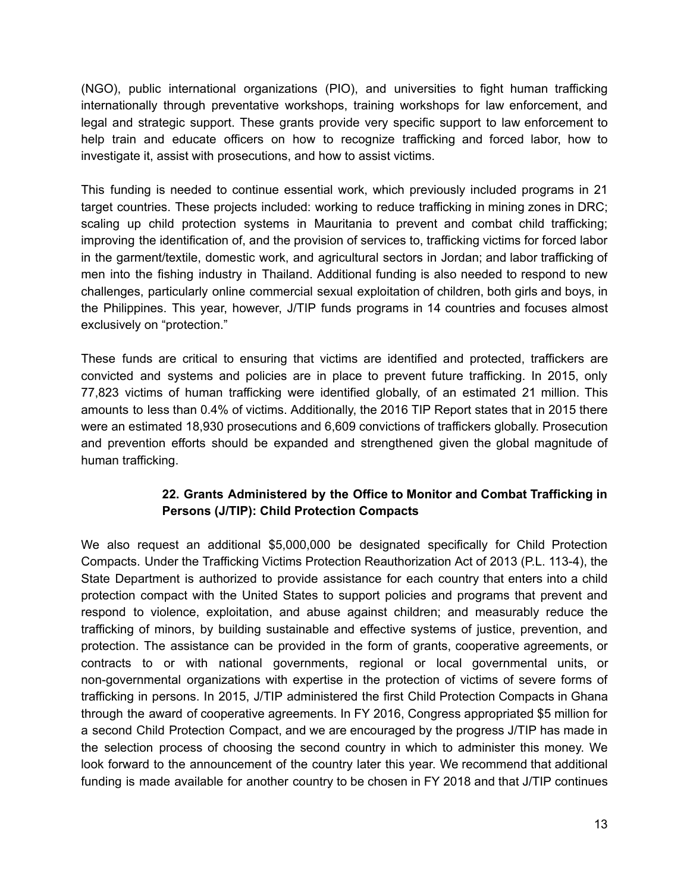(NGO), public international organizations (PIO), and universities to fight human trafficking internationally through preventative workshops, training workshops for law enforcement, and legal and strategic support. These grants provide very specific support to law enforcement to help train and educate officers on how to recognize trafficking and forced labor, how to investigate it, assist with prosecutions, and how to assist victims.

This funding is needed to continue essential work, which previously included programs in 21 target countries. These projects included: working to reduce trafficking in mining zones in DRC; scaling up child protection systems in Mauritania to prevent and combat child trafficking; improving the identification of, and the provision of services to, trafficking victims for forced labor in the garment/textile, domestic work, and agricultural sectors in Jordan; and labor trafficking of men into the fishing industry in Thailand. Additional funding is also needed to respond to new challenges, particularly online commercial sexual exploitation of children, both girls and boys, in the Philippines. This year, however, J/TIP funds programs in 14 countries and focuses almost exclusively on "protection."

These funds are critical to ensuring that victims are identified and protected, traffickers are convicted and systems and policies are in place to prevent future trafficking. In 2015, only 77,823 victims of human trafficking were identified globally, of an estimated 21 million. This amounts to less than 0.4% of victims. Additionally, the 2016 TIP Report states that in 2015 there were an estimated 18,930 prosecutions and 6,609 convictions of traffickers globally. Prosecution and prevention efforts should be expanded and strengthened given the global magnitude of human trafficking.

## **22. Grants Administered by the Office to Monitor and Combat Trafficking in Persons (J/TIP): Child Protection Compacts**

We also request an additional \$5,000,000 be designated specifically for Child Protection Compacts. Under the Trafficking Victims Protection Reauthorization Act of 2013 (P.L. 1134), the State Department is authorized to provide assistance for each country that enters into a child protection compact with the United States to support policies and programs that prevent and respond to violence, exploitation, and abuse against children; and measurably reduce the trafficking of minors, by building sustainable and effective systems of justice, prevention, and protection. The assistance can be provided in the form of grants, cooperative agreements, or contracts to or with national governments, regional or local governmental units, or non-governmental organizations with expertise in the protection of victims of severe forms of trafficking in persons. In 2015, J/TIP administered the first Child Protection Compacts in Ghana through the award of cooperative agreements. In FY 2016, Congress appropriated \$5 million for a second Child Protection Compact, and we are encouraged by the progress J/TIP has made in the selection process of choosing the second country in which to administer this money. We look forward to the announcement of the country later this year. We recommend that additional funding is made available for another country to be chosen in FY 2018 and that J/TIP continues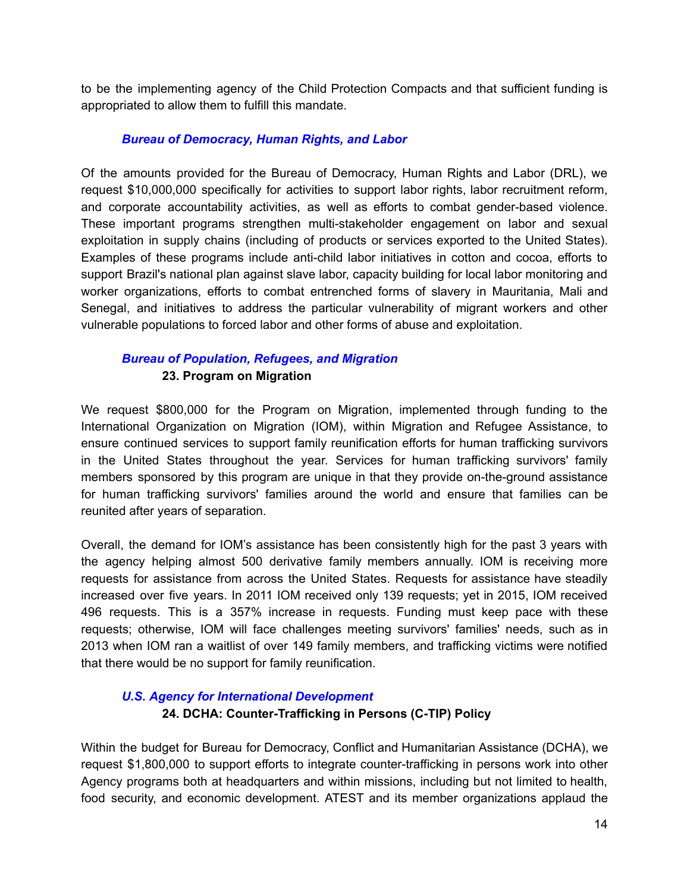to be the implementing agency of the Child Protection Compacts and that sufficient funding is appropriated to allow them to fulfill this mandate.

#### *Bureau of Democracy, Human Rights, and Labor*

Of the amounts provided for the Bureau of Democracy, Human Rights and Labor (DRL), we request \$10,000,000 specifically for activities to support labor rights, labor recruitment reform, and corporate accountability activities, as well as efforts to combat gender-based violence. These important programs strengthen multi-stakeholder engagement on labor and sexual exploitation in supply chains (including of products or services exported to the United States). Examples of these programs include anti-child labor initiatives in cotton and cocoa, efforts to support Brazil's national plan against slave labor, capacity building for local labor monitoring and worker organizations, efforts to combat entrenched forms of slavery in Mauritania, Mali and Senegal, and initiatives to address the particular vulnerability of migrant workers and other vulnerable populations to forced labor and other forms of abuse and exploitation.

### *Bureau of [Population,](http://www.state.gov/j/prm/) Refugees, and Migration* **23. Program on Migration**

We request \$800,000 for the Program on Migration, implemented through funding to the International Organization on Migration (IOM), within Migration and Refugee Assistance, to ensure continued services to support family reunification efforts for human trafficking survivors in the United States throughout the year. Services for human trafficking survivors' family members sponsored by this program are unique in that they provide on-the-ground assistance for human trafficking survivors' families around the world and ensure that families can be reunited after years of separation.

Overall, the demand for IOM's assistance has been consistently high for the past 3 years with the agency helping almost 500 derivative family members annually. IOM is receiving more requests for assistance from across the United States. Requests for assistance have steadily increased over five years. In 2011 IOM received only 139 requests; yet in 2015, IOM received 496 requests. This is a 357% increase in requests. Funding must keep pace with these requests; otherwise, IOM will face challenges meeting survivors' families' needs, such as in 2013 when IOM ran a waitlist of over 149 family members, and trafficking victims were notified that there would be no support for family reunification.

# *U.S. Agency for International Development* **24. DCHA: CounterTrafficking in Persons (CTIP) Policy**

Within the budget for Bureau for Democracy, Conflict and Humanitarian Assistance (DCHA), we request \$1,800,000 to support efforts to integrate counter-trafficking in persons work into other Agency programs both at headquarters and within missions, including but not limited to health, food security, and economic development. ATEST and its member organizations applaud the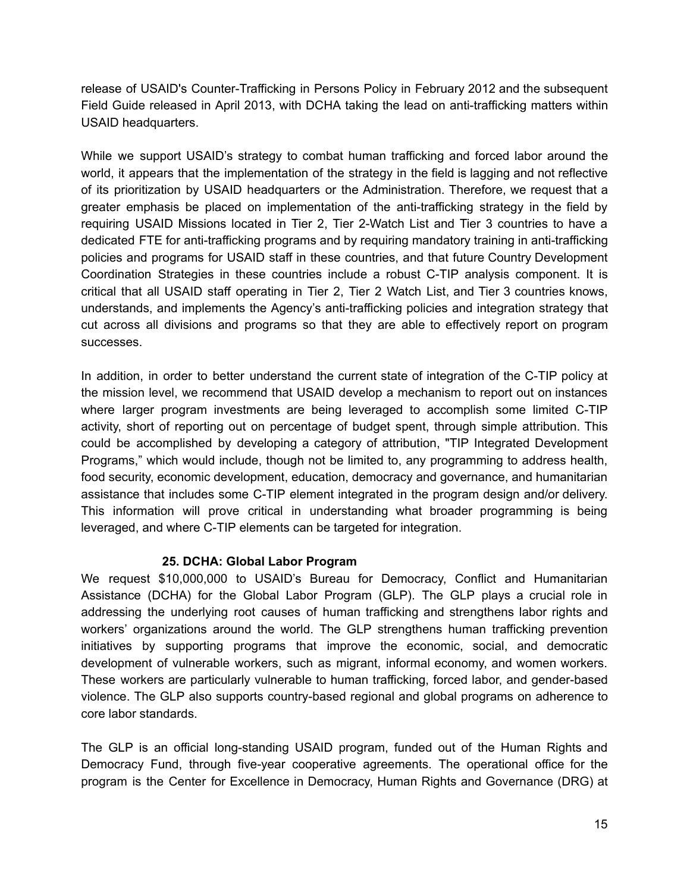release of USAID's Counter-Trafficking in Persons Policy in February 2012 and the subsequent Field Guide released in April 2013, with DCHA taking the lead on anti-trafficking matters within USAID headquarters.

While we support USAID's strategy to combat human trafficking and forced labor around the world, it appears that the implementation of the strategy in the field is lagging and not reflective of its prioritization by USAID headquarters or the Administration. Therefore, we request that a greater emphasis be placed on implementation of the anti-trafficking strategy in the field by requiring USAID Missions located in Tier 2, Tier 2-Watch List and Tier 3 countries to have a dedicated FTE for anti-trafficking programs and by requiring mandatory training in anti-trafficking policies and programs for USAID staff in these countries, and that future Country Development Coordination Strategies in these countries include a robust C-TIP analysis component. It is critical that all USAID staff operating in Tier 2, Tier 2 Watch List, and Tier 3 countries knows, understands, and implements the Agency's anti-trafficking policies and integration strategy that cut across all divisions and programs so that they are able to effectively report on program successes.

In addition, in order to better understand the current state of integration of the C-TIP policy at the mission level, we recommend that USAID develop a mechanism to report out on instances where larger program investments are being leveraged to accomplish some limited C-TIP activity, short of reporting out on percentage of budget spent, through simple attribution. This could be accomplished by developing a category of attribution, "TIP Integrated Development Programs," which would include, though not be limited to, any programming to address health, food security, economic development, education, democracy and governance, and humanitarian assistance that includes some C-TIP element integrated in the program design and/or delivery. This information will prove critical in understanding what broader programming is being leveraged, and where C-TIP elements can be targeted for integration.

### **25. DCHA: Global Labor Program**

We request \$10,000,000 to USAID's Bureau for Democracy, Conflict and Humanitarian Assistance (DCHA) for the Global Labor Program (GLP). The GLP plays a crucial role in addressing the underlying root causes of human trafficking and strengthens labor rights and workers' organizations around the world. The GLP strengthens human trafficking prevention initiatives by supporting programs that improve the economic, social, and democratic development of vulnerable workers, such as migrant, informal economy, and women workers. These workers are particularly vulnerable to human trafficking, forced labor, and gender-based violence. The GLP also supports country-based regional and global programs on adherence to core labor standards.

The GLP is an official long-standing USAID program, funded out of the Human Rights and Democracy Fund, through five-year cooperative agreements. The operational office for the program is the Center for Excellence in Democracy, Human Rights and Governance (DRG) at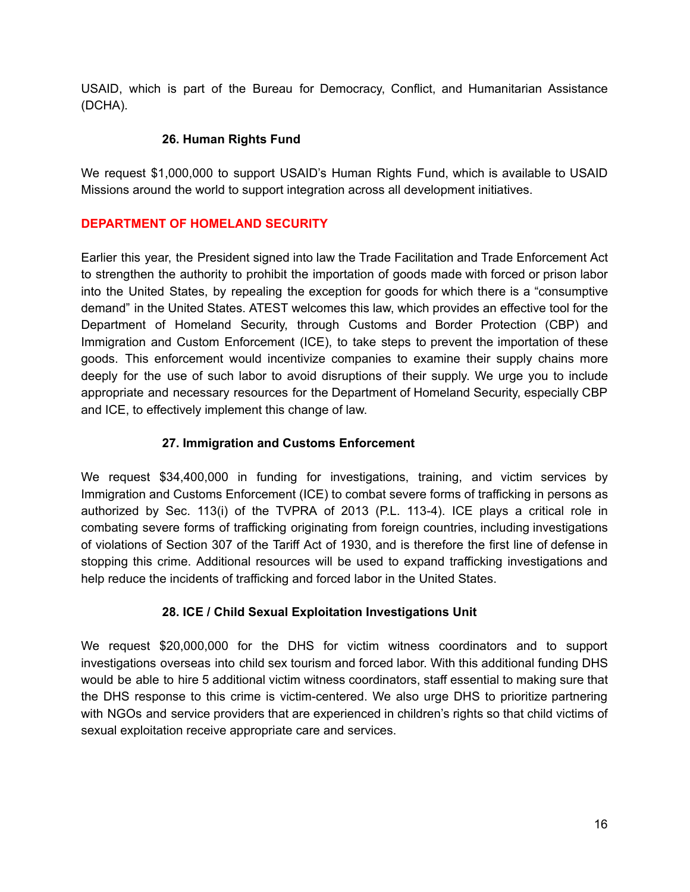USAID, which is part of the Bureau for Democracy, Conflict, and Humanitarian Assistance (DCHA).

### **26. Human Rights Fund**

We request \$1,000,000 to support USAID's Human Rights Fund, which is available to USAID Missions around the world to support integration across all development initiatives.

### **DEPARTMENT OF HOMELAND SECURITY**

Earlier this year, the President signed into law the Trade Facilitation and Trade Enforcement Act to strengthen the authority to prohibit the importation of goods made with forced or prison labor into the United States, by repealing the exception for goods for which there is a "consumptive demand" in the United States. ATEST welcomes this law, which provides an effective tool for the Department of Homeland Security, through Customs and Border Protection (CBP) and Immigration and Custom Enforcement (ICE), to take steps to prevent the importation of these goods. This enforcement would incentivize companies to examine their supply chains more deeply for the use of such labor to avoid disruptions of their supply. We urge you to include appropriate and necessary resources for the Department of Homeland Security, especially CBP and ICE, to effectively implement this change of law.

### **27. Immigration and Customs Enforcement**

We request \$34,400,000 in funding for investigations, training, and victim services by Immigration and Customs Enforcement (ICE) to combat severe forms of trafficking in persons as authorized by Sec. 113(i) of the TVPRA of 2013 (P.L. 113-4). ICE plays a critical role in combating severe forms of trafficking originating from foreign countries, including investigations of violations of Section 307 of the Tariff Act of 1930, and is therefore the first line of defense in stopping this crime. Additional resources will be used to expand trafficking investigations and help reduce the incidents of trafficking and forced labor in the United States.

## **28. ICE / Child Sexual Exploitation Investigations Unit**

We request \$20,000,000 for the DHS for victim witness coordinators and to support investigations overseas into child sex tourism and forced labor. With this additional funding DHS would be able to hire 5 additional victim witness coordinators, staff essential to making sure that the DHS response to this crime is victim-centered. We also urge DHS to prioritize partnering with NGOs and service providers that are experienced in children's rights so that child victims of sexual exploitation receive appropriate care and services.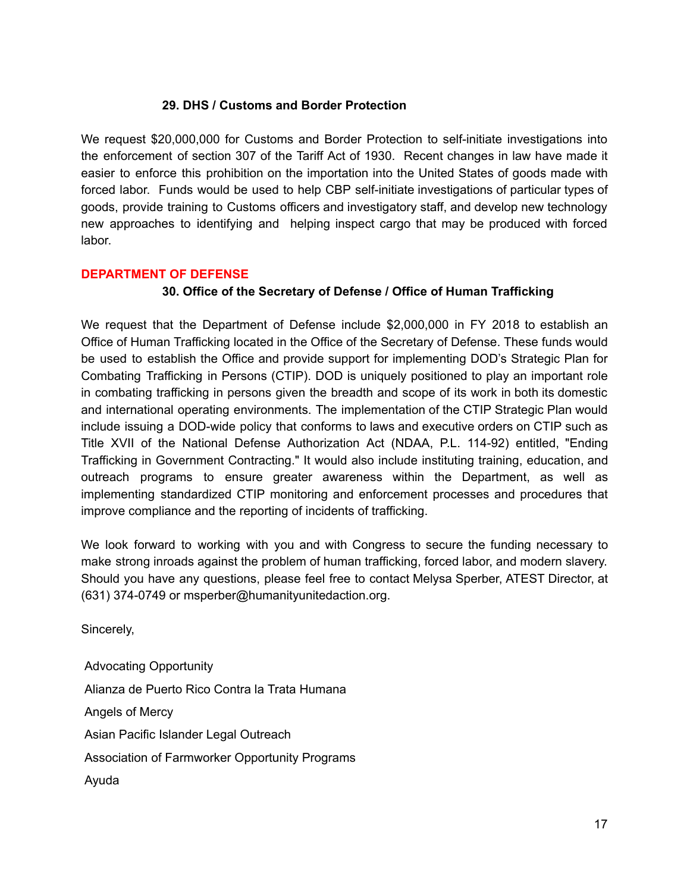### **29. DHS / Customs and Border Protection**

We request \$20,000,000 for Customs and Border Protection to self-initiate investigations into the enforcement of section 307 of the Tariff Act of 1930. Recent changes in law have made it easier to enforce this prohibition on the importation into the United States of goods made with forced labor. Funds would be used to help CBP self-initiate investigations of particular types of goods, provide training to Customs officers and investigatory staff, and develop new technology new approaches to identifying and helping inspect cargo that may be produced with forced labor.

#### **DEPARTMENT OF DEFENSE**

#### **30. Office of the Secretary of Defense / Office of Human Trafficking**

We request that the Department of Defense include \$2,000,000 in FY 2018 to establish an Office of Human Trafficking located in the Office of the Secretary of Defense. These funds would be used to establish the Office and provide support for implementing DOD's Strategic Plan for Combating Trafficking in Persons (CTIP). DOD is uniquely positioned to play an important role in combating trafficking in persons given the breadth and scope of its work in both its domestic and international operating environments. The implementation of the CTIP Strategic Plan would include issuing a DOD-wide policy that conforms to laws and executive orders on CTIP such as Title XVII of the National Defense Authorization Act (NDAA, P.L. 11492) entitled, "Ending Trafficking in Government Contracting." It would also include instituting training, education, and outreach programs to ensure greater awareness within the Department, as well as implementing standardized CTIP monitoring and enforcement processes and procedures that improve compliance and the reporting of incidents of trafficking.

We look forward to working with you and with Congress to secure the funding necessary to make strong inroads against the problem of human trafficking, forced labor, and modern slavery. Should you have any questions, please feel free to contact Melysa Sperber, ATEST Director, at (631) 374-0749 or msperber@humanityunitedaction.org.

Sincerely,

Advocating Opportunity Alianza de Puerto Rico Contra la Trata Humana Angels of Mercy Asian Pacific Islander Legal Outreach Association of Farmworker Opportunity Programs Ayuda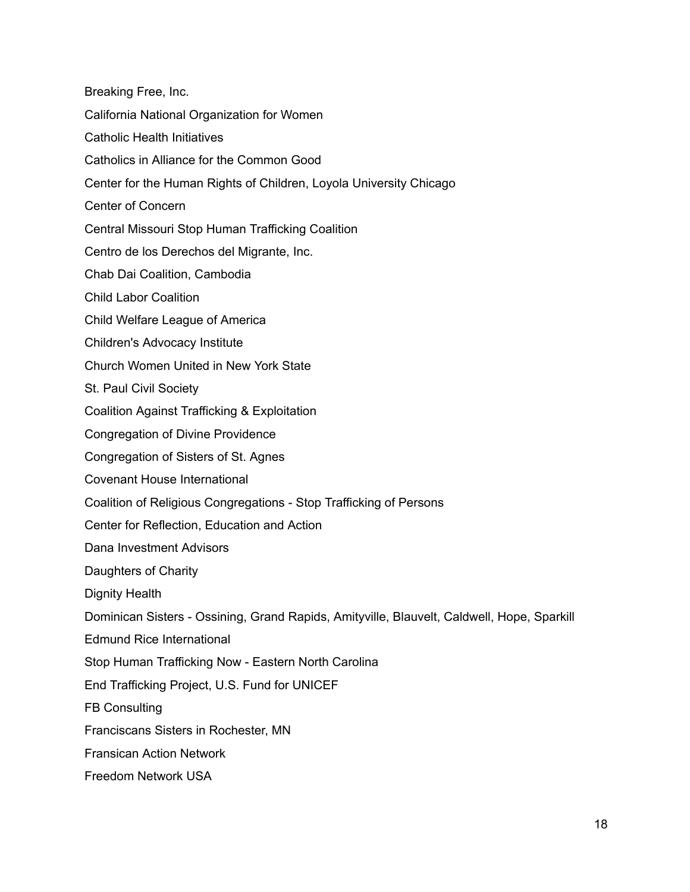Breaking Free, Inc. California National Organization for Women Catholic Health Initiatives Catholics in Alliance for the Common Good Center for the Human Rights of Children, Loyola University Chicago Center of Concern Central Missouri Stop Human Trafficking Coalition Centro de los Derechos del Migrante, Inc. Chab Dai Coalition, Cambodia Child Labor Coalition Child Welfare League of America Children's Advocacy Institute Church Women United in New York State St. Paul Civil Society Coalition Against Trafficking & Exploitation Congregation of Divine Providence Congregation of Sisters of St. Agnes Covenant House International Coalition of Religious Congregations - Stop Trafficking of Persons Center for Reflection, Education and Action Dana Investment Advisors Daughters of Charity Dignity Health Dominican Sisters - Ossining, Grand Rapids, Amityville, Blauvelt, Caldwell, Hope, Sparkill Edmund Rice International Stop Human Trafficking Now - Eastern North Carolina End Trafficking Project, U.S. Fund for UNICEF FB Consulting Franciscans Sisters in Rochester, MN Fransican Action Network Freedom Network USA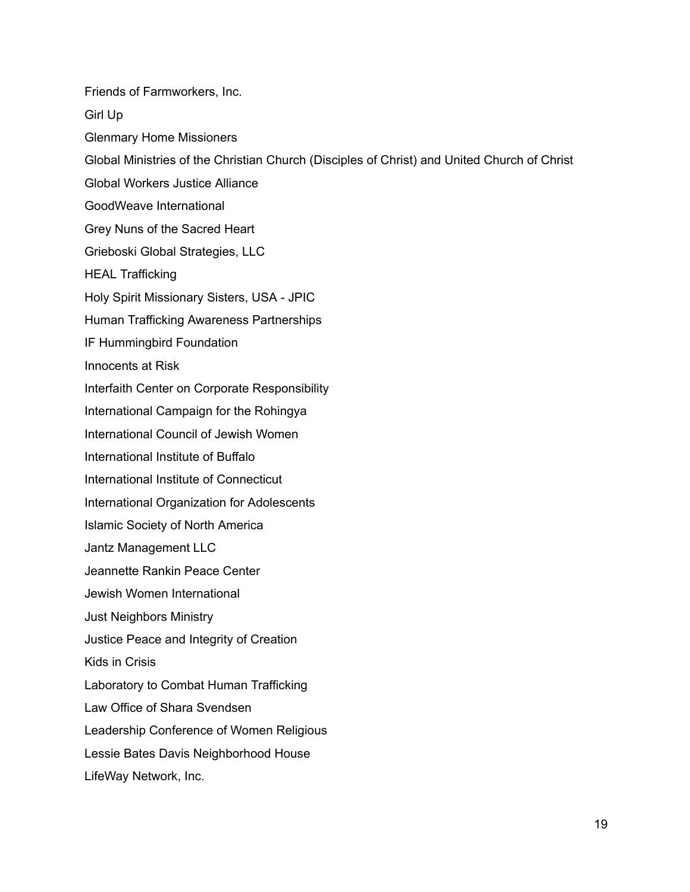Friends of Farmworkers, Inc. Girl Up Glenmary Home Missioners Global Ministries of the Christian Church (Disciples of Christ) and United Church of Christ Global Workers Justice Alliance GoodWeave International Grey Nuns of the Sacred Heart Grieboski Global Strategies, LLC HEAL Trafficking Holy Spirit Missionary Sisters, USA - JPIC Human Trafficking Awareness Partnerships IF Hummingbird Foundation Innocents at Risk Interfaith Center on Corporate Responsibility International Campaign for the Rohingya International Council of Jewish Women International Institute of Buffalo International Institute of Connecticut International Organization for Adolescents Islamic Society of North America Jantz Management LLC Jeannette Rankin Peace Center Jewish Women International Just Neighbors Ministry Justice Peace and Integrity of Creation Kids in Crisis Laboratory to Combat Human Trafficking Law Office of Shara Svendsen Leadership Conference of Women Religious Lessie Bates Davis Neighborhood House LifeWay Network, Inc.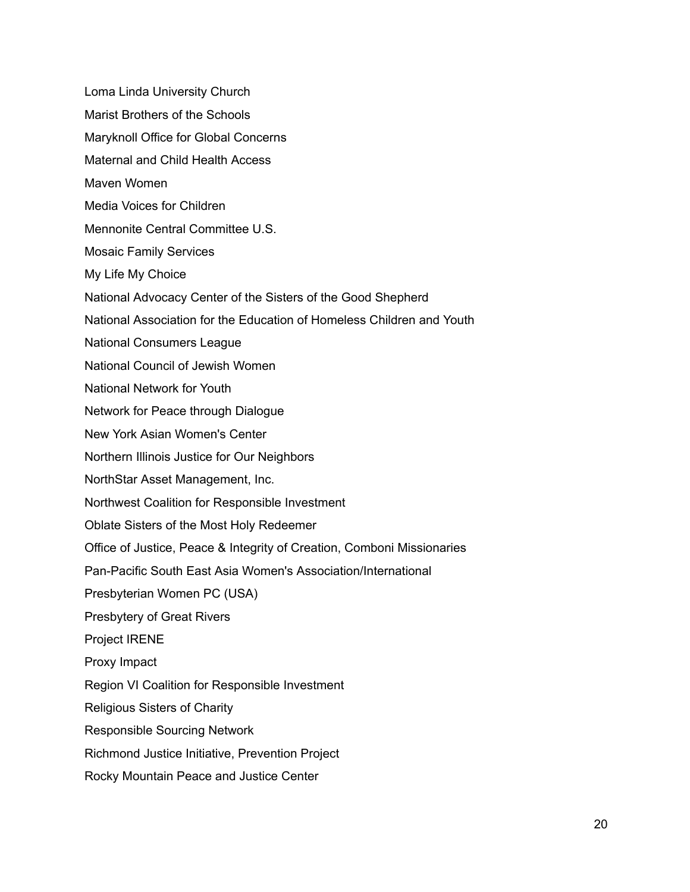Loma Linda University Church

- Marist Brothers of the Schools
- Maryknoll Office for Global Concerns
- Maternal and Child Health Access
- Maven Women
- Media Voices for Children
- Mennonite Central Committee U.S.
- Mosaic Family Services
- My Life My Choice
- National Advocacy Center of the Sisters of the Good Shepherd
- National Association for the Education of Homeless Children and Youth
- National Consumers League
- National Council of Jewish Women
- National Network for Youth
- Network for Peace through Dialogue
- New York Asian Women's Center
- Northern Illinois Justice for Our Neighbors
- NorthStar Asset Management, Inc.
- Northwest Coalition for Responsible Investment
- Oblate Sisters of the Most Holy Redeemer
- Office of Justice, Peace & Integrity of Creation, Comboni Missionaries
- Pan-Pacific South East Asia Women's Association/International
- Presbyterian Women PC (USA)
- Presbytery of Great Rivers
- Project IRENE
- Proxy Impact
- Region VI Coalition for Responsible Investment
- Religious Sisters of Charity
- Responsible Sourcing Network
- Richmond Justice Initiative, Prevention Project
- Rocky Mountain Peace and Justice Center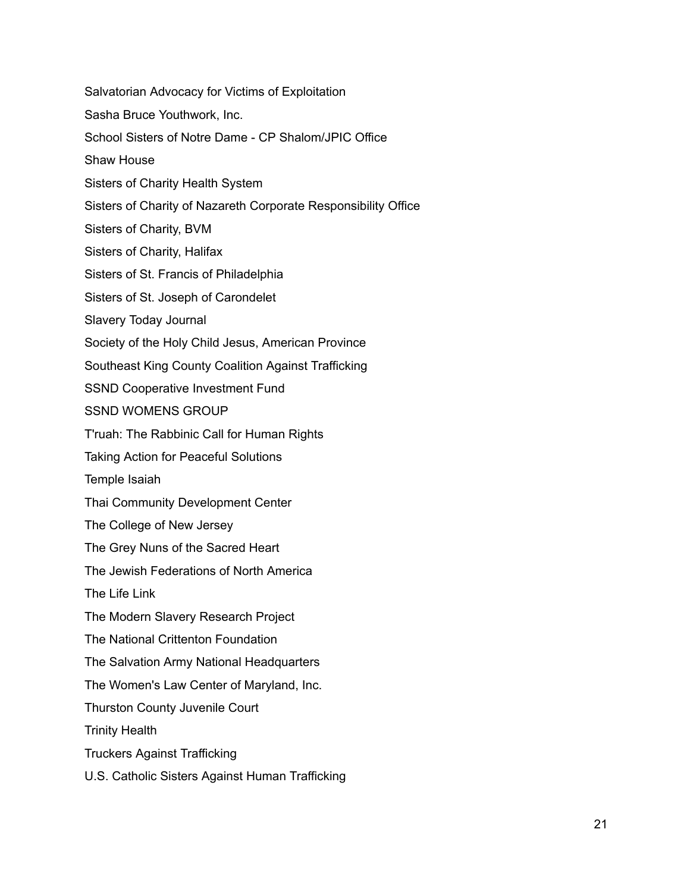Salvatorian Advocacy for Victims of Exploitation Sasha Bruce Youthwork, Inc. School Sisters of Notre Dame - CP Shalom/JPIC Office Shaw House Sisters of Charity Health System Sisters of Charity of Nazareth Corporate Responsibility Office Sisters of Charity, BVM Sisters of Charity, Halifax Sisters of St. Francis of Philadelphia Sisters of St. Joseph of Carondelet Slavery Today Journal Society of the Holy Child Jesus, American Province Southeast King County Coalition Against Trafficking SSND Cooperative Investment Fund SSND WOMENS GROUP T'ruah: The Rabbinic Call for Human Rights Taking Action for Peaceful Solutions Temple Isaiah Thai Community Development Center The College of New Jersey The Grey Nuns of the Sacred Heart The Jewish Federations of North America The Life Link The Modern Slavery Research Project The National Crittenton Foundation The Salvation Army National Headquarters The Women's Law Center of Maryland, Inc. Thurston County Juvenile Court Trinity Health Truckers Against Trafficking U.S. Catholic Sisters Against Human Trafficking